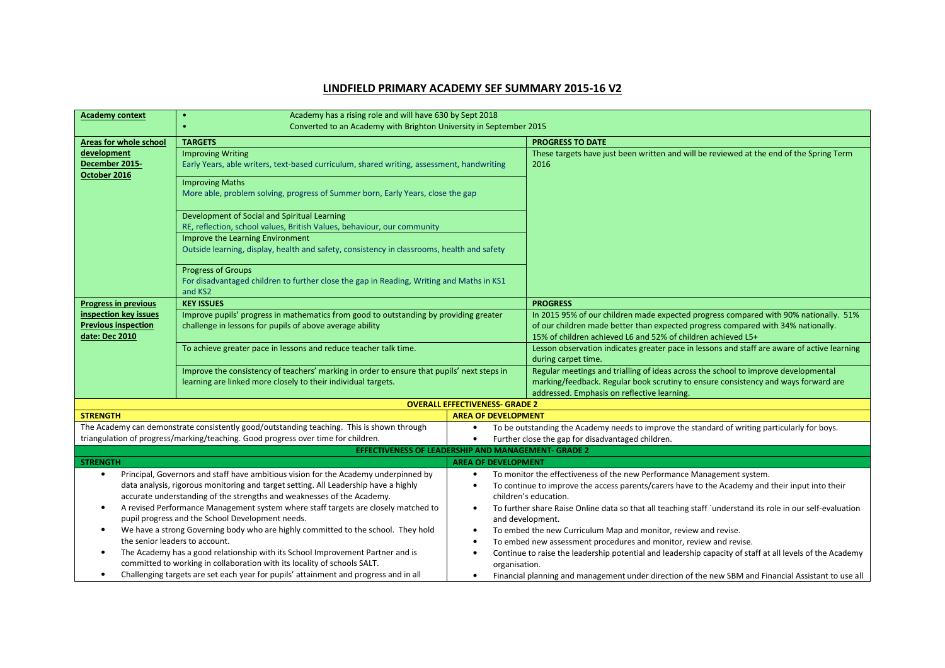## LINDFIELD PRIMARY ACADEMY SEF SUMMARY 2015-16 V2

| <b>Academy context</b>                                                                                                                                           | Academy has a rising role and will have 630 by Sept 2018<br>$\bullet$                                                                                                          |                                                                                                                                                                              |                                                                                                                                   |  |  |  |
|------------------------------------------------------------------------------------------------------------------------------------------------------------------|--------------------------------------------------------------------------------------------------------------------------------------------------------------------------------|------------------------------------------------------------------------------------------------------------------------------------------------------------------------------|-----------------------------------------------------------------------------------------------------------------------------------|--|--|--|
|                                                                                                                                                                  | Converted to an Academy with Brighton University in September 2015                                                                                                             |                                                                                                                                                                              |                                                                                                                                   |  |  |  |
| Areas for whole school                                                                                                                                           | <b>TARGETS</b>                                                                                                                                                                 |                                                                                                                                                                              | <b>PROGRESS TO DATE</b>                                                                                                           |  |  |  |
| development                                                                                                                                                      | <b>Improving Writing</b>                                                                                                                                                       |                                                                                                                                                                              | These targets have just been written and will be reviewed at the end of the Spring Term                                           |  |  |  |
| December 2015-                                                                                                                                                   | Early Years, able writers, text-based curriculum, shared writing, assessment, handwriting                                                                                      |                                                                                                                                                                              | 2016                                                                                                                              |  |  |  |
| October 2016                                                                                                                                                     | <b>Improving Maths</b>                                                                                                                                                         |                                                                                                                                                                              |                                                                                                                                   |  |  |  |
|                                                                                                                                                                  | More able, problem solving, progress of Summer born, Early Years, close the gap                                                                                                |                                                                                                                                                                              |                                                                                                                                   |  |  |  |
|                                                                                                                                                                  |                                                                                                                                                                                |                                                                                                                                                                              |                                                                                                                                   |  |  |  |
|                                                                                                                                                                  | Development of Social and Spiritual Learning                                                                                                                                   |                                                                                                                                                                              |                                                                                                                                   |  |  |  |
|                                                                                                                                                                  | RE, reflection, school values, British Values, behaviour, our community                                                                                                        |                                                                                                                                                                              |                                                                                                                                   |  |  |  |
|                                                                                                                                                                  | Improve the Learning Environment                                                                                                                                               |                                                                                                                                                                              |                                                                                                                                   |  |  |  |
|                                                                                                                                                                  | Outside learning, display, health and safety, consistency in classrooms, health and safety                                                                                     |                                                                                                                                                                              |                                                                                                                                   |  |  |  |
|                                                                                                                                                                  | <b>Progress of Groups</b>                                                                                                                                                      |                                                                                                                                                                              |                                                                                                                                   |  |  |  |
|                                                                                                                                                                  | For disadvantaged children to further close the gap in Reading, Writing and Maths in KS1                                                                                       |                                                                                                                                                                              |                                                                                                                                   |  |  |  |
|                                                                                                                                                                  | and KS2                                                                                                                                                                        |                                                                                                                                                                              |                                                                                                                                   |  |  |  |
| <b>Progress in previous</b>                                                                                                                                      | <b>KEY ISSUES</b>                                                                                                                                                              |                                                                                                                                                                              | <b>PROGRESS</b>                                                                                                                   |  |  |  |
| inspection key issues                                                                                                                                            | Improve pupils' progress in mathematics from good to outstanding by providing greater                                                                                          |                                                                                                                                                                              | In 2015 95% of our children made expected progress compared with 90% nationally. 51%                                              |  |  |  |
| <b>Previous inspection</b>                                                                                                                                       | challenge in lessons for pupils of above average ability                                                                                                                       |                                                                                                                                                                              | of our children made better than expected progress compared with 34% nationally.                                                  |  |  |  |
| date: Dec 2010                                                                                                                                                   |                                                                                                                                                                                |                                                                                                                                                                              | 15% of children achieved L6 and 52% of children achieved L5+                                                                      |  |  |  |
|                                                                                                                                                                  | To achieve greater pace in lessons and reduce teacher talk time.                                                                                                               |                                                                                                                                                                              | Lesson observation indicates greater pace in lessons and staff are aware of active learning<br>during carpet time.                |  |  |  |
|                                                                                                                                                                  | Improve the consistency of teachers' marking in order to ensure that pupils' next steps in                                                                                     |                                                                                                                                                                              | Regular meetings and trialling of ideas across the school to improve developmental                                                |  |  |  |
|                                                                                                                                                                  | learning are linked more closely to their individual targets.                                                                                                                  |                                                                                                                                                                              | marking/feedback. Regular book scrutiny to ensure consistency and ways forward are                                                |  |  |  |
|                                                                                                                                                                  |                                                                                                                                                                                |                                                                                                                                                                              | addressed. Emphasis on reflective learning.                                                                                       |  |  |  |
|                                                                                                                                                                  |                                                                                                                                                                                | <b>OVERALL EFFECTIVENESS- GRADE 2</b>                                                                                                                                        |                                                                                                                                   |  |  |  |
| <b>STRENGTH</b>                                                                                                                                                  |                                                                                                                                                                                | <b>AREA OF DEVELOPMENT</b>                                                                                                                                                   |                                                                                                                                   |  |  |  |
|                                                                                                                                                                  | The Academy can demonstrate consistently good/outstanding teaching. This is shown through<br>triangulation of progress/marking/teaching. Good progress over time for children. | To be outstanding the Academy needs to improve the standard of writing particularly for boys.<br>$\bullet$<br>Further close the gap for disadvantaged children.<br>$\bullet$ |                                                                                                                                   |  |  |  |
|                                                                                                                                                                  |                                                                                                                                                                                |                                                                                                                                                                              |                                                                                                                                   |  |  |  |
| EFFECTIVENESS OF LEADERSHIP AND MANAGEMENT- GRADE 2<br><b>STRENGTH</b><br><b>AREA OF DEVELOPMENT</b>                                                             |                                                                                                                                                                                |                                                                                                                                                                              |                                                                                                                                   |  |  |  |
| Principal, Governors and staff have ambitious vision for the Academy underpinned by<br>$\bullet$<br>$\bullet$                                                    |                                                                                                                                                                                |                                                                                                                                                                              | To monitor the effectiveness of the new Performance Management system.                                                            |  |  |  |
| data analysis, rigorous monitoring and target setting. All Leadership have a highly                                                                              |                                                                                                                                                                                | To continue to improve the access parents/carers have to the Academy and their input into their<br>$\bullet$                                                                 |                                                                                                                                   |  |  |  |
| accurate understanding of the strengths and weaknesses of the Academy.                                                                                           |                                                                                                                                                                                | children's education.                                                                                                                                                        |                                                                                                                                   |  |  |  |
| A revised Performance Management system where staff targets are closely matched to<br>$\bullet$                                                                  |                                                                                                                                                                                | To further share Raise Online data so that all teaching staff `understand its role in our self-evaluation<br>$\bullet$                                                       |                                                                                                                                   |  |  |  |
| pupil progress and the School Development needs.                                                                                                                 |                                                                                                                                                                                | and development.                                                                                                                                                             |                                                                                                                                   |  |  |  |
| We have a strong Governing body who are highly committed to the school. They hold<br>$\bullet$                                                                   |                                                                                                                                                                                | To embed the new Curriculum Map and monitor, review and revise.<br>$\bullet$                                                                                                 |                                                                                                                                   |  |  |  |
| the senior leaders to account.                                                                                                                                   |                                                                                                                                                                                | To embed new assessment procedures and monitor, review and revise.<br>$\bullet$                                                                                              |                                                                                                                                   |  |  |  |
| The Academy has a good relationship with its School Improvement Partner and is                                                                                   |                                                                                                                                                                                | Continue to raise the leadership potential and leadership capacity of staff at all levels of the Academy<br>$\bullet$                                                        |                                                                                                                                   |  |  |  |
| committed to working in collaboration with its locality of schools SALT.<br>Challenging targets are set each year for pupils' attainment and progress and in all |                                                                                                                                                                                |                                                                                                                                                                              | organisation.<br>Financial planning and management under direction of the new SBM and Financial Assistant to use all<br>$\bullet$ |  |  |  |
|                                                                                                                                                                  |                                                                                                                                                                                |                                                                                                                                                                              |                                                                                                                                   |  |  |  |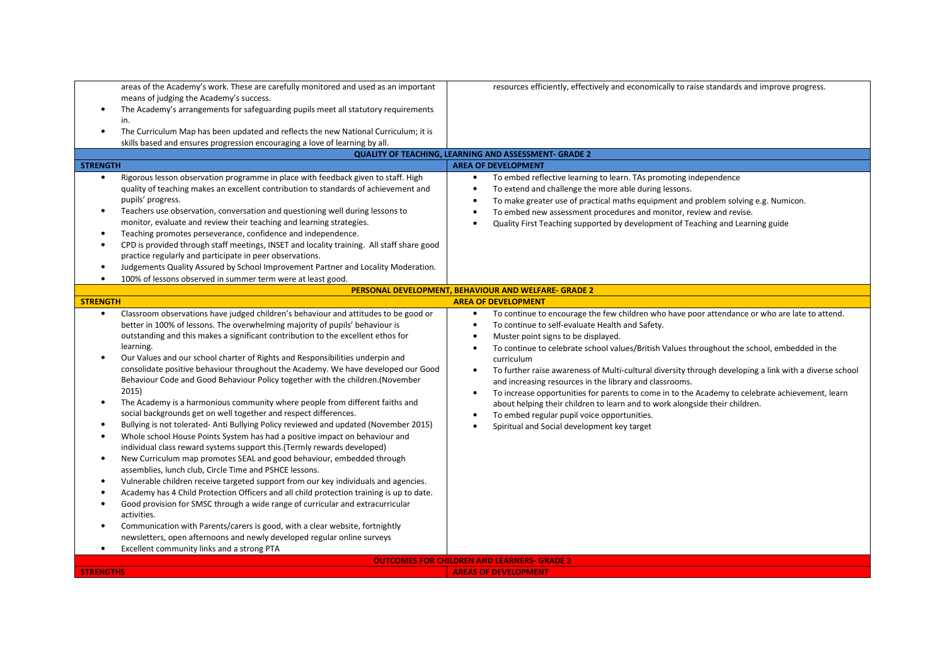| areas of the Academy's work. These are carefully monitored and used as an important<br>means of judging the Academy's success.<br>The Academy's arrangements for safeguarding pupils meet all statutory requirements<br>$\bullet$<br>in.<br>The Curriculum Map has been updated and reflects the new National Curriculum; it is<br>$\bullet$<br>skills based and ensures progression encouraging a love of learning by all.<br><b>STRENGTH</b><br>Rigorous lesson observation programme in place with feedback given to staff. High<br>$\bullet$<br>quality of teaching makes an excellent contribution to standards of achievement and<br>pupils' progress.<br>Teachers use observation, conversation and questioning well during lessons to<br>$\bullet$<br>monitor, evaluate and review their teaching and learning strategies.                                                                                                                                                                                                                                                                                                                                                                                                                                                                                                                                                                                                                                                                                                                                                                         | resources efficiently, effectively and economically to raise standards and improve progress.<br><b>QUALITY OF TEACHING, LEARNING AND ASSESSMENT- GRADE 2</b><br><b>AREA OF DEVELOPMENT</b><br>To embed reflective learning to learn. TAs promoting independence<br>$\bullet$<br>To extend and challenge the more able during lessons.<br>$\bullet$<br>To make greater use of practical maths equipment and problem solving e.g. Numicon.<br>$\bullet$<br>To embed new assessment procedures and monitor, review and revise.<br>$\bullet$<br>Quality First Teaching supported by development of Teaching and Learning guide                                                                                                                                          |  |  |  |  |
|------------------------------------------------------------------------------------------------------------------------------------------------------------------------------------------------------------------------------------------------------------------------------------------------------------------------------------------------------------------------------------------------------------------------------------------------------------------------------------------------------------------------------------------------------------------------------------------------------------------------------------------------------------------------------------------------------------------------------------------------------------------------------------------------------------------------------------------------------------------------------------------------------------------------------------------------------------------------------------------------------------------------------------------------------------------------------------------------------------------------------------------------------------------------------------------------------------------------------------------------------------------------------------------------------------------------------------------------------------------------------------------------------------------------------------------------------------------------------------------------------------------------------------------------------------------------------------------------------------|---------------------------------------------------------------------------------------------------------------------------------------------------------------------------------------------------------------------------------------------------------------------------------------------------------------------------------------------------------------------------------------------------------------------------------------------------------------------------------------------------------------------------------------------------------------------------------------------------------------------------------------------------------------------------------------------------------------------------------------------------------------------|--|--|--|--|
| Teaching promotes perseverance, confidence and independence.<br>$\bullet$<br>CPD is provided through staff meetings, INSET and locality training. All staff share good<br>$\bullet$<br>practice regularly and participate in peer observations.<br>Judgements Quality Assured by School Improvement Partner and Locality Moderation.<br>$\bullet$<br>100% of lessons observed in summer term were at least good.<br>$\bullet$                                                                                                                                                                                                                                                                                                                                                                                                                                                                                                                                                                                                                                                                                                                                                                                                                                                                                                                                                                                                                                                                                                                                                                              |                                                                                                                                                                                                                                                                                                                                                                                                                                                                                                                                                                                                                                                                                                                                                                     |  |  |  |  |
|                                                                                                                                                                                                                                                                                                                                                                                                                                                                                                                                                                                                                                                                                                                                                                                                                                                                                                                                                                                                                                                                                                                                                                                                                                                                                                                                                                                                                                                                                                                                                                                                            | PERSONAL DEVELOPMENT, BEHAVIOUR AND WELFARE- GRADE 2                                                                                                                                                                                                                                                                                                                                                                                                                                                                                                                                                                                                                                                                                                                |  |  |  |  |
| <b>STRENGTH</b><br>Classroom observations have judged children's behaviour and attitudes to be good or<br>$\bullet$                                                                                                                                                                                                                                                                                                                                                                                                                                                                                                                                                                                                                                                                                                                                                                                                                                                                                                                                                                                                                                                                                                                                                                                                                                                                                                                                                                                                                                                                                        | <b>AREA OF DEVELOPMENT</b><br>To continue to encourage the few children who have poor attendance or who are late to attend.<br>$\bullet$                                                                                                                                                                                                                                                                                                                                                                                                                                                                                                                                                                                                                            |  |  |  |  |
| better in 100% of lessons. The overwhelming majority of pupils' behaviour is<br>outstanding and this makes a significant contribution to the excellent ethos for<br>learning.<br>Our Values and our school charter of Rights and Responsibilities underpin and<br>$\bullet$<br>consolidate positive behaviour throughout the Academy. We have developed our Good<br>Behaviour Code and Good Behaviour Policy together with the children. (November<br>2015)<br>The Academy is a harmonious community where people from different faiths and<br>$\bullet$<br>social backgrounds get on well together and respect differences.<br>Bullying is not tolerated- Anti Bullying Policy reviewed and updated (November 2015)<br>$\bullet$<br>Whole school House Points System has had a positive impact on behaviour and<br>$\bullet$<br>individual class reward systems support this. (Termly rewards developed)<br>New Curriculum map promotes SEAL and good behaviour, embedded through<br>$\bullet$<br>assemblies, lunch club, Circle Time and PSHCE lessons.<br>Vulnerable children receive targeted support from our key individuals and agencies.<br>$\bullet$<br>Academy has 4 Child Protection Officers and all child protection training is up to date.<br>$\bullet$<br>Good provision for SMSC through a wide range of curricular and extracurricular<br>$\bullet$<br>activities.<br>Communication with Parents/carers is good, with a clear website, fortnightly<br>$\bullet$<br>newsletters, open afternoons and newly developed regular online surveys<br>Excellent community links and a strong PTA | To continue to self-evaluate Health and Safety.<br>$\bullet$<br>Muster point signs to be displayed.<br>$\bullet$<br>To continue to celebrate school values/British Values throughout the school, embedded in the<br>$\bullet$<br>curriculum<br>To further raise awareness of Multi-cultural diversity through developing a link with a diverse school<br>and increasing resources in the library and classrooms.<br>To increase opportunities for parents to come in to the Academy to celebrate achievement, learn<br>$\bullet$<br>about helping their children to learn and to work alongside their children.<br>To embed regular pupil voice opportunities.<br>Spiritual and Social development key target<br><b>OUTCOMES FOR CHILDREN AND LEARNERS- GRADE 2</b> |  |  |  |  |
| <b>STRENGTHS</b><br><b>AREAS OF DEVELOPMENT</b>                                                                                                                                                                                                                                                                                                                                                                                                                                                                                                                                                                                                                                                                                                                                                                                                                                                                                                                                                                                                                                                                                                                                                                                                                                                                                                                                                                                                                                                                                                                                                            |                                                                                                                                                                                                                                                                                                                                                                                                                                                                                                                                                                                                                                                                                                                                                                     |  |  |  |  |
|                                                                                                                                                                                                                                                                                                                                                                                                                                                                                                                                                                                                                                                                                                                                                                                                                                                                                                                                                                                                                                                                                                                                                                                                                                                                                                                                                                                                                                                                                                                                                                                                            |                                                                                                                                                                                                                                                                                                                                                                                                                                                                                                                                                                                                                                                                                                                                                                     |  |  |  |  |